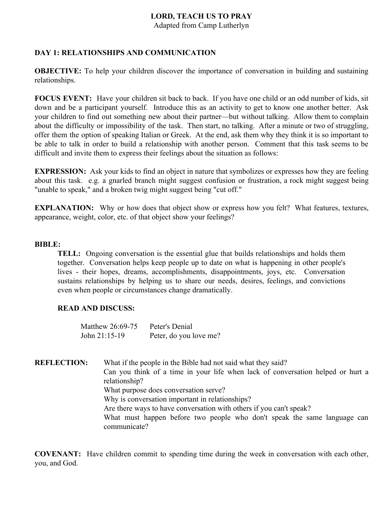Adapted from Camp Lutherlyn

# **DAY 1: RELATIONSHIPS AND COMMUNICATION**

**OBJECTIVE:** To help your children discover the importance of conversation in building and sustaining relationships.

**FOCUS EVENT:** Have your children sit back to back. If you have one child or an odd number of kids, sit down and be a participant yourself. Introduce this as an activity to get to know one another better. Ask your children to find out something new about their partner—but without talking. Allow them to complain about the difficulty or impossibility of the task. Then start, no talking. After a minute or two of struggling, offer them the option of speaking Italian or Greek. At the end, ask them why they think it is so important to be able to talk in order to build a relationship with another person. Comment that this task seems to be difficult and invite them to express their feelings about the situation as follows:

**EXPRESSION:** Ask your kids to find an object in nature that symbolizes or expresses how they are feeling about this task. e.g. a gnarled branch might suggest confusion or frustration, a rock might suggest being "unable to speak," and a broken twig might suggest being "cut off."

**EXPLANATION:** Why or how does that object show or express how you felt? What features, textures, appearance, weight, color, etc. of that object show your feelings?

#### **BIBLE:**

**TELL:** Ongoing conversation is the essential glue that builds relationships and holds them together. Conversation helps keep people up to date on what is happening in other people's lives - their hopes, dreams, accomplishments, disappointments, joys, etc. Conversation sustains relationships by helping us to share our needs, desires, feelings, and convictions even when people or circumstances change dramatically.

# **READ AND DISCUSS:**

| Matthew 26:69-75 | Peter's Denial         |
|------------------|------------------------|
| John $21:15-19$  | Peter, do you love me? |

**REFLECTION:** What if the people in the Bible had not said what they said? Can you think of a time in your life when lack of conversation helped or hurt a relationship? What purpose does conversation serve? Why is conversation important in relationships? Are there ways to have conversation with others if you can't speak? What must happen before two people who don't speak the same language can communicate?

**COVENANT:** Have children commit to spending time during the week in conversation with each other, you, and God.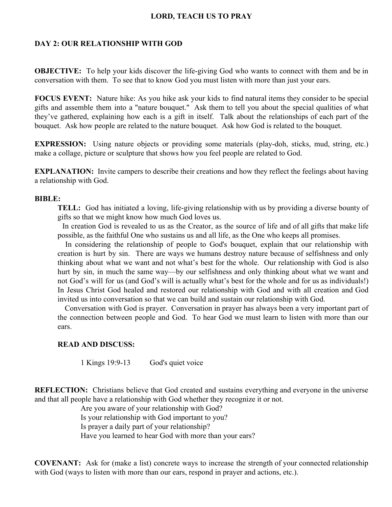# **DAY 2: OUR RELATIONSHIP WITH GOD**

**OBJECTIVE:** To help your kids discover the life-giving God who wants to connect with them and be in conversation with them. To see that to know God you must listen with more than just your ears.

**FOCUS EVENT:** Nature hike: As you hike ask your kids to find natural items they consider to be special gifts and assemble them into a "nature bouquet." Ask them to tell you about the special qualities of what they've gathered, explaining how each is a gift in itself. Talk about the relationships of each part of the bouquet. Ask how people are related to the nature bouquet. Ask how God is related to the bouquet.

**EXPRESSION:** Using nature objects or providing some materials (play-doh, sticks, mud, string, etc.) make a collage, picture or sculpture that shows how you feel people are related to God.

**EXPLANATION:** Invite campers to describe their creations and how they reflect the feelings about having a relationship with God.

#### **BIBLE:**

**TELL:** God has initiated a loving, life-giving relationship with us by providing a diverse bounty of gifts so that we might know how much God loves us.

In creation God is revealed to us as the Creator, as the source of life and of all gifts that make life possible, as the faithful One who sustains us and all life, as the One who keeps all promises.

In considering the relationship of people to God's bouquet, explain that our relationship with creation is hurt by sin. There are ways we humans destroy nature because of selfishness and only thinking about what we want and not what's best for the whole. Our relationship with God is also hurt by sin, in much the same way—by our selfishness and only thinking about what we want and not God's will for us (and God's will is actually what's best for the whole and for us as individuals!) In Jesus Christ God healed and restored our relationship with God and with all creation and God invited us into conversation so that we can build and sustain our relationship with God.

Conversation with God is prayer. Conversation in prayer has always been a very important part of the connection between people and God. To hear God we must learn to listen with more than our ears.

#### **READ AND DISCUSS:**

1 Kings 19:9-13 God's quiet voice

**REFLECTION:** Christians believe that God created and sustains everything and everyone in the universe and that all people have a relationship with God whether they recognize it or not.

> Are you aware of your relationship with God? Is your relationship with God important to you? Is prayer a daily part of your relationship? Have you learned to hear God with more than your ears?

**COVENANT:** Ask for (make a list) concrete ways to increase the strength of your connected relationship with God (ways to listen with more than our ears, respond in prayer and actions, etc.).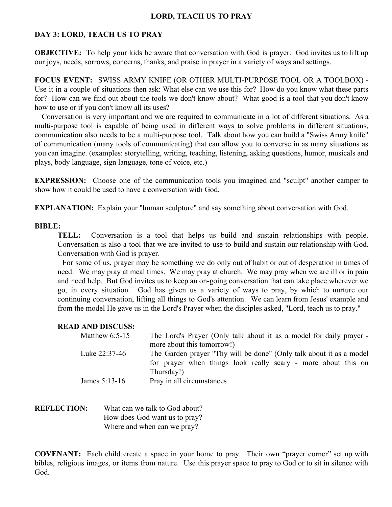## **DAY 3: LORD, TEACH US TO PRAY**

**OBJECTIVE:** To help your kids be aware that conversation with God is prayer. God invites us to lift up our joys, needs, sorrows, concerns, thanks, and praise in prayer in a variety of ways and settings.

**FOCUS EVENT:** SWISS ARMY KNIFE (OR OTHER MULTI-PURPOSE TOOL OR A TOOLBOX) - Use it in a couple of situations then ask: What else can we use this for? How do you know what these parts for? How can we find out about the tools we don't know about? What good is a tool that you don't know how to use or if you don't know all its uses?

Conversation is very important and we are required to communicate in a lot of different situations. As a multi-purpose tool is capable of being used in different ways to solve problems in different situations, communication also needs to be a multi-purpose tool. Talk about how you can build a "Swiss Army knife" of communication (many tools of communicating) that can allow you to converse in as many situations as you can imagine. (examples: storytelling, writing, teaching, listening, asking questions, humor, musicals and plays, body language, sign language, tone of voice, etc.)

**EXPRESSION:** Choose one of the communication tools you imagined and "sculpt" another camper to show how it could be used to have a conversation with God.

**EXPLANATION:** Explain your "human sculpture" and say something about conversation with God.

#### **BIBLE:**

**TELL:** Conversation is a tool that helps us build and sustain relationships with people. Conversation is also a tool that we are invited to use to build and sustain our relationship with God. Conversation with God is prayer.

For some of us, prayer may be something we do only out of habit or out of desperation in times of need. We may pray at meal times. We may pray at church. We may pray when we are ill or in pain and need help. But God invites us to keep an on-going conversation that can take place wherever we go, in every situation. God has given us a variety of ways to pray, by which to nurture our continuing conversation, lifting all things to God's attention. We can learn from Jesus' example and from the model He gave us in the Lord's Prayer when the disciples asked, "Lord, teach us to pray."

#### **READ AND DISCUSS:**

| Matthew $6:5-15$ | The Lord's Prayer (Only talk about it as a model for daily prayer - |
|------------------|---------------------------------------------------------------------|
|                  | more about this tomorrow!)                                          |
| Luke 22:37-46    | The Garden prayer "Thy will be done" (Only talk about it as a model |
|                  | for prayer when things look really scary - more about this on       |
|                  | Thursday!)                                                          |
| James $5:13-16$  | Pray in all circumstances                                           |

**REFLECTION:** What can we talk to God about? How does God want us to pray? Where and when can we pray?

**COVENANT:** Each child create a space in your home to pray. Their own "prayer corner" set up with bibles, religious images, or items from nature. Use this prayer space to pray to God or to sit in silence with God.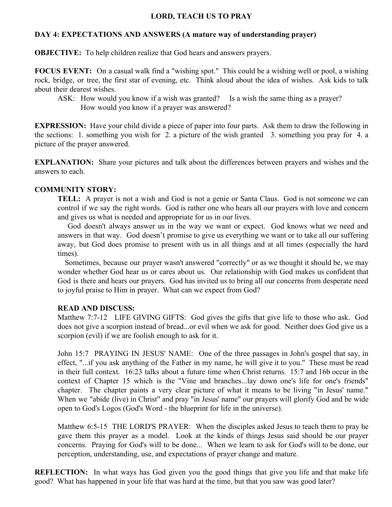## **DAY 4: EXPECTATIONS AND ANSWERS (A mature way of understanding prayer)**

**OBJECTIVE:** To help children realize that God hears and answers prayers.

**FOCUS EVENT:** On a casual walk find a "wishing spot." This could be a wishing well or pool, a wishing rock, bridge, or tree, the first star of evening, etc. Think aloud about the idea of wishes. Ask kids to talk about their dearest wishes.

ASK: How would you know if a wish was granted? Is a wish the same thing as a prayer? How would you know if a prayer was answered?

**EXPRESSION:** Have your child divide a piece of paper into four parts. Ask them to draw the following in the sections: 1. something you wish for 2. a picture of the wish granted 3. something you pray for 4. a picture of the prayer answered.

**EXPLANATION:** Share your pictures and talk about the differences between prayers and wishes and the answers to each.

## **COMMUNITY STORY:**

**TELL:** A prayer is not a wish and God is not a genie or Santa Claus. God is not someone we can control if we say the right words. God is rather one who hears all our prayers with love and concern and gives us what is needed and appropriate for us in our lives.

God doesn't always answer us in the way we want or expect. God knows what we need and answers in that way. God doesn't promise to give us everything we want or to take all our suffering away, but God does promise to present with us in all things and at all times (especially the hard times).

Sometimes, because our prayer wasn't answered "correctly" or as we thought it should be, we may wonder whether God hear us or cares about us. Our relationship with God makes us confident that God is there and hears our prayers. God has invited us to bring all our concerns from desperate need to joyful praise to Him in prayer. What can we expect from God?

#### **READ AND DISCUSS:**

Matthew 7:7-12 LIFE GIVING GIFTS: God gives the gifts that give life to those who ask. God does not give a scorpion instead of bread...or evil when we ask for good. Neither does God give us a scorpion (evil) if we are foolish enough to ask for it.

John 15:7 PRAYING IN JESUS' NAME: One of the three passages in John's gospel that say, in effect, "...if you ask anything of the Father in my name, he will give it to you." These must be read in their full context. 16:23 talks about a future time when Christ returns. 15:7 and 16b occur in the context of Chapter 15 which is the "Vine and branches...lay down one's life for one's friends" chapter. The chapter paints a very clear picture of what it means to be living "in Jesus' name." When we "abide (live) in Christ" and pray "in Jesus' name" our prayers will glorify God and be wide open to God's Logos (God's Word - the blueprint for life in the universe).

Matthew 6:5-15 THE LORD'S PRAYER: When the disciples asked Jesus to teach them to pray he gave them this prayer as a model. Look at the kinds of things Jesus said should be our prayer concerns. Praying for God's will to be done... When we learn to ask for God's will to be done, our perception, understanding, use, and expectations of prayer change and mature.

**REFLECTION:** In what ways has God given you the good things that give you life and that make life good? What has happened in your life that was hard at the time, but that you saw was good later?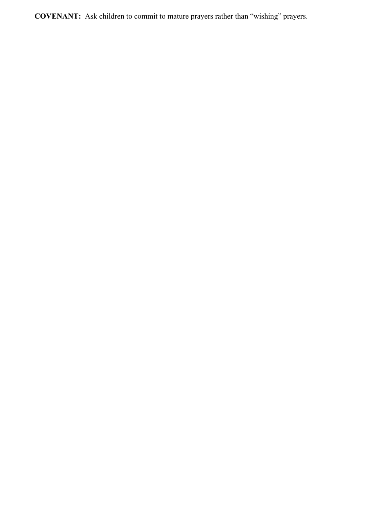**COVENANT:** Ask children to commit to mature prayers rather than "wishing" prayers.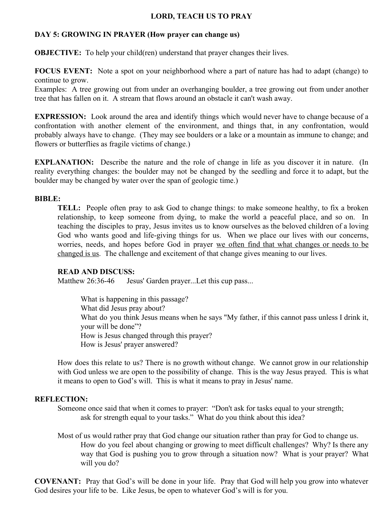# **DAY 5: GROWING IN PRAYER (How prayer can change us)**

**OBJECTIVE:** To help your child(ren) understand that prayer changes their lives.

**FOCUS EVENT:** Note a spot on your neighborhood where a part of nature has had to adapt (change) to continue to grow.

Examples: A tree growing out from under an overhanging boulder, a tree growing out from under another tree that has fallen on it. A stream that flows around an obstacle it can't wash away.

**EXPRESSION:** Look around the area and identify things which would never have to change because of a confrontation with another element of the environment, and things that, in any confrontation, would probably always have to change. (They may see boulders or a lake or a mountain as immune to change; and flowers or butterflies as fragile victims of change.)

**EXPLANATION:** Describe the nature and the role of change in life as you discover it in nature. (In reality everything changes: the boulder may not be changed by the seedling and force it to adapt, but the boulder may be changed by water over the span of geologic time.)

#### **BIBLE:**

**TELL:** People often pray to ask God to change things: to make someone healthy, to fix a broken relationship, to keep someone from dying, to make the world a peaceful place, and so on. In teaching the disciples to pray, Jesus invites us to know ourselves as the beloved children of a loving God who wants good and life-giving things for us. When we place our lives with our concerns, worries, needs, and hopes before God in prayer we often find that what changes or needs to be changed is us. The challenge and excitement of that change gives meaning to our lives.

#### **READ AND DISCUSS:**

Matthew 26:36-46 Jesus' Garden prayer...Let this cup pass...

What is happening in this passage? What did Jesus pray about? What do you think Jesus means when he says "My father, if this cannot pass unless I drink it, your will be done"? How is Jesus changed through this prayer? How is Jesus' prayer answered?

How does this relate to us? There is no growth without change. We cannot grow in our relationship with God unless we are open to the possibility of change. This is the way Jesus prayed. This is what it means to open to God's will. This is what it means to pray in Jesus' name.

#### **REFLECTION:**

Someone once said that when it comes to prayer: "Don't ask for tasks equal to your strength; ask for strength equal to your tasks." What do you think about this idea?

Most of us would rather pray that God change our situation rather than pray for God to change us. How do you feel about changing or growing to meet difficult challenges? Why? Is there any way that God is pushing you to grow through a situation now? What is your prayer? What will you do?

**COVENANT:** Pray that God's will be done in your life. Pray that God will help you grow into whatever God desires your life to be. Like Jesus, be open to whatever God's will is for you.